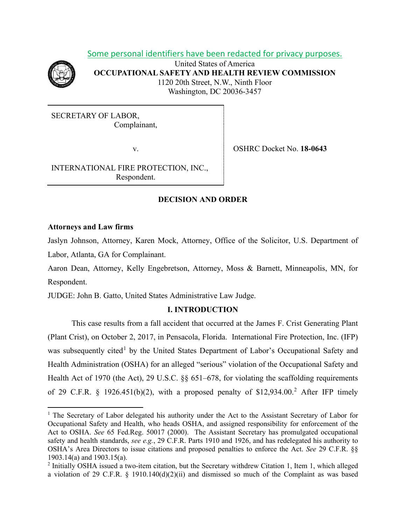Some personal identifiers have been redacted for privacy purposes.



United States of America **OCCUPATIONAL SAFETY AND HEALTH REVIEW COMMISSION** 1120 20th Street, N.W., Ninth Floor Washington, DC 20036-3457

SECRETARY OF LABOR, Complainant,

v. OSHRC Docket No. **18-0643**

INTERNATIONAL FIRE PROTECTION, INC., Respondent.

# **DECISION AND ORDER**

## **Attorneys and Law firms**

Jaslyn Johnson, Attorney, Karen Mock, Attorney, Office of the Solicitor, U.S. Department of Labor, Atlanta, GA for Complainant.

Aaron Dean, Attorney, Kelly Engebretson, Attorney, Moss & Barnett, Minneapolis, MN, for Respondent.

JUDGE: John B. Gatto, United States Administrative Law Judge.

## **I. INTRODUCTION**

This case results from a fall accident that occurred at the James F. Crist Generating Plant (Plant Crist), on October 2, 2017, in Pensacola, Florida. International Fire Protection, Inc. (IFP) was subsequently cited<sup>[1](#page-0-0)</sup> by the United States Department of Labor's Occupational Safety and Health Administration (OSHA) for an alleged "serious" violation of the Occupational Safety and Health Act of 1970 (the Act), 29 U.S.C. §§ 651–678, for violating the scaffolding requirements of [2](#page-0-1)9 C.F.R. § 1926.451(b)(2), with a proposed penalty of  $$12,934.00$ <sup>2</sup> After IFP timely

<span id="page-0-0"></span><sup>&</sup>lt;sup>1</sup> The Secretary of Labor delegated his authority under the Act to the Assistant Secretary of Labor for Occupational Safety and Health, who heads OSHA, and assigned responsibility for enforcement of the Act to OSHA. *See* 65 Fed.Reg. 50017 (2000). The Assistant Secretary has promulgated occupational safety and health standards, *see e.g.*, 29 C.F.R. Parts 1910 and 1926, and has redelegated his authority to OSHA's Area Directors to issue citations and proposed penalties to enforce the Act. *See* 29 C.F.R. §§ 1903.14(a) and 1903.15(a).

<span id="page-0-1"></span><sup>2</sup> Initially OSHA issued a two-item citation, but the Secretary withdrew Citation 1, Item 1, which alleged a violation of 29 C.F.R. § 1910.140(d)(2)(ii) and dismissed so much of the Complaint as was based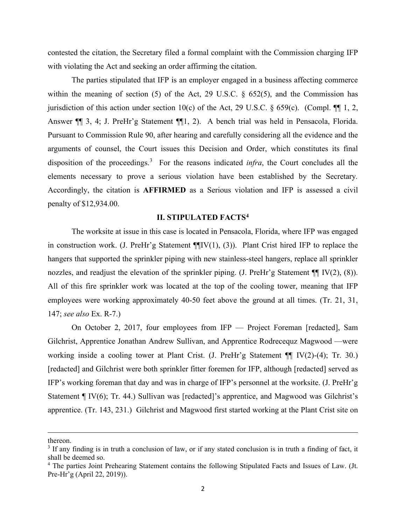contested the citation, the Secretary filed a formal complaint with the Commission charging IFP with violating the Act and seeking an order affirming the citation.

The parties stipulated that IFP is an employer engaged in a business affecting commerce within the meaning of section (5) of the Act, 29 U.S.C. § 652(5), and the Commission has jurisdiction of this action under section 10(c) of the Act, 29 U.S.C. § 659(c). (Compl.  $\P\P$  1, 2, Answer ¶¶ 3, 4; J. PreHr'g Statement ¶¶1, 2). A bench trial was held in Pensacola, Florida. Pursuant to Commission Rule 90, after hearing and carefully considering all the evidence and the arguments of counsel, the Court issues this Decision and Order, which constitutes its final disposition of the proceedings.<sup>[3](#page-1-0)</sup> For the reasons indicated *infra*, the Court concludes all the elements necessary to prove a serious violation have been established by the Secretary*.* Accordingly, the citation is **AFFIRMED** as a Serious violation and IFP is assessed a civil penalty of \$12,934.00.

# **II. STIPULATED FACTS[4](#page-1-1)**

The worksite at issue in this case is located in Pensacola, Florida, where IFP was engaged in construction work. (J. PreHr'g Statement  $\P$ [IV(1), (3)). Plant Crist hired IFP to replace the hangers that supported the sprinkler piping with new stainless-steel hangers, replace all sprinkler nozzles, and readjust the elevation of the sprinkler piping. (J. PreHr'g Statement ¶[IV(2), (8)). All of this fire sprinkler work was located at the top of the cooling tower, meaning that IFP employees were working approximately 40-50 feet above the ground at all times. (Tr. 21, 31, 147; *see also* Ex. R-7.)

On October 2, 2017, four employees from IFP — Project Foreman [redacted], Sam Gilchrist, Apprentice Jonathan Andrew Sullivan, and Apprentice Rodrecequz Magwood —were working inside a cooling tower at Plant Crist. (J. PreHr'g Statement ¶¶ IV(2)-(4); Tr. 30.) [redacted] and Gilchrist were both sprinkler fitter foremen for IFP, although [redacted] served as IFP's working foreman that day and was in charge of IFP's personnel at the worksite. (J. PreHr'g Statement ¶ IV(6); Tr. 44.) Sullivan was [redacted]'s apprentice, and Magwood was Gilchrist's apprentice. (Tr. 143, 231.) Gilchrist and Magwood first started working at the Plant Crist site on

thereon.

<span id="page-1-0"></span><sup>&</sup>lt;sup>3</sup> If any finding is in truth a conclusion of law, or if any stated conclusion is in truth a finding of fact, it shall be deemed so.

<span id="page-1-1"></span><sup>4</sup> The parties Joint Prehearing Statement contains the following Stipulated Facts and Issues of Law. (Jt. Pre-Hr'g (April 22, 2019)).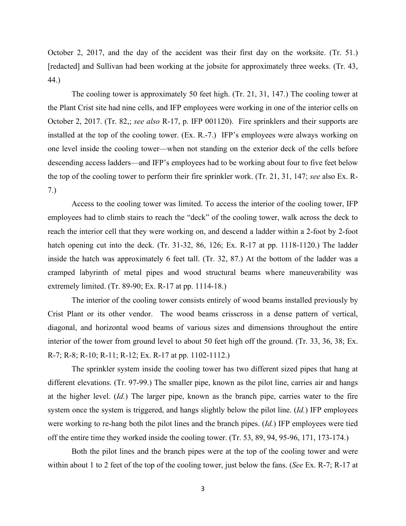October 2, 2017, and the day of the accident was their first day on the worksite. (Tr. 51.) [redacted] and Sullivan had been working at the jobsite for approximately three weeks. (Tr. 43, 44.)

The cooling tower is approximately 50 feet high. (Tr. 21, 31, 147.) The cooling tower at the Plant Crist site had nine cells, and IFP employees were working in one of the interior cells on October 2, 2017. (Tr. 82,; *see also* R-17, p. IFP 001120). Fire sprinklers and their supports are installed at the top of the cooling tower. (Ex. R.-7.) IFP's employees were always working on one level inside the cooling tower—when not standing on the exterior deck of the cells before descending access ladders—and IFP's employees had to be working about four to five feet below the top of the cooling tower to perform their fire sprinkler work. (Tr. 21, 31, 147; *see* also Ex. R-7.)

Access to the cooling tower was limited. To access the interior of the cooling tower, IFP employees had to climb stairs to reach the "deck" of the cooling tower, walk across the deck to reach the interior cell that they were working on, and descend a ladder within a 2-foot by 2-foot hatch opening cut into the deck. (Tr. 31-32, 86, 126; Ex. R-17 at pp. 1118-1120.) The ladder inside the hatch was approximately 6 feet tall. (Tr. 32, 87.) At the bottom of the ladder was a cramped labyrinth of metal pipes and wood structural beams where maneuverability was extremely limited. (Tr. 89-90; Ex. R-17 at pp. 1114-18.)

The interior of the cooling tower consists entirely of wood beams installed previously by Crist Plant or its other vendor. The wood beams crisscross in a dense pattern of vertical, diagonal, and horizontal wood beams of various sizes and dimensions throughout the entire interior of the tower from ground level to about 50 feet high off the ground. (Tr. 33, 36, 38; Ex. R-7; R-8; R-10; R-11; R-12; Ex. R-17 at pp. 1102-1112.)

The sprinkler system inside the cooling tower has two different sized pipes that hang at different elevations. (Tr. 97-99.) The smaller pipe, known as the pilot line, carries air and hangs at the higher level. (*Id.*) The larger pipe, known as the branch pipe, carries water to the fire system once the system is triggered, and hangs slightly below the pilot line. (*Id.*) IFP employees were working to re-hang both the pilot lines and the branch pipes. (*Id.*) IFP employees were tied off the entire time they worked inside the cooling tower. (Tr. 53, 89, 94, 95-96, 171, 173-174.)

Both the pilot lines and the branch pipes were at the top of the cooling tower and were within about 1 to 2 feet of the top of the cooling tower, just below the fans. (*See* Ex. R-7; R-17 at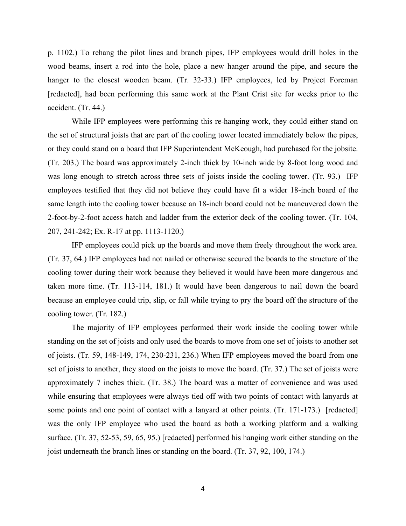p. 1102.) To rehang the pilot lines and branch pipes, IFP employees would drill holes in the wood beams, insert a rod into the hole, place a new hanger around the pipe, and secure the hanger to the closest wooden beam. (Tr. 32-33.) IFP employees, led by Project Foreman [redacted], had been performing this same work at the Plant Crist site for weeks prior to the accident. (Tr. 44.)

While IFP employees were performing this re-hanging work, they could either stand on the set of structural joists that are part of the cooling tower located immediately below the pipes, or they could stand on a board that IFP Superintendent McKeough, had purchased for the jobsite. (Tr. 203.) The board was approximately 2-inch thick by 10-inch wide by 8-foot long wood and was long enough to stretch across three sets of joists inside the cooling tower. (Tr. 93.) IFP employees testified that they did not believe they could have fit a wider 18-inch board of the same length into the cooling tower because an 18-inch board could not be maneuvered down the 2-foot-by-2-foot access hatch and ladder from the exterior deck of the cooling tower. (Tr. 104, 207, 241-242; Ex. R-17 at pp. 1113-1120.)

IFP employees could pick up the boards and move them freely throughout the work area. (Tr. 37, 64.) IFP employees had not nailed or otherwise secured the boards to the structure of the cooling tower during their work because they believed it would have been more dangerous and taken more time. (Tr. 113-114, 181.) It would have been dangerous to nail down the board because an employee could trip, slip, or fall while trying to pry the board off the structure of the cooling tower. (Tr. 182.)

The majority of IFP employees performed their work inside the cooling tower while standing on the set of joists and only used the boards to move from one set of joists to another set of joists. (Tr. 59, 148-149, 174, 230-231, 236.) When IFP employees moved the board from one set of joists to another, they stood on the joists to move the board. (Tr. 37.) The set of joists were approximately 7 inches thick. (Tr. 38.) The board was a matter of convenience and was used while ensuring that employees were always tied off with two points of contact with lanyards at some points and one point of contact with a lanyard at other points. (Tr. 171-173.) [redacted] was the only IFP employee who used the board as both a working platform and a walking surface. (Tr. 37, 52-53, 59, 65, 95.) [redacted] performed his hanging work either standing on the joist underneath the branch lines or standing on the board. (Tr. 37, 92, 100, 174.)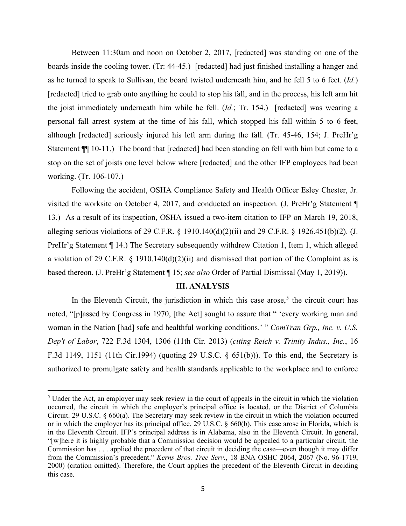Between 11:30am and noon on October 2, 2017, [redacted] was standing on one of the boards inside the cooling tower. (Tr: 44-45.) [redacted] had just finished installing a hanger and as he turned to speak to Sullivan, the board twisted underneath him, and he fell 5 to 6 feet. (*Id.*) [redacted] tried to grab onto anything he could to stop his fall, and in the process, his left arm hit the joist immediately underneath him while he fell. (*Id.*; Tr. 154.) [redacted] was wearing a personal fall arrest system at the time of his fall, which stopped his fall within 5 to 6 feet, although [redacted] seriously injured his left arm during the fall. (Tr. 45-46, 154; J. PreHr'g Statement  $\P$  10-11.) The board that [redacted] had been standing on fell with him but came to a stop on the set of joists one level below where [redacted] and the other IFP employees had been working. (Tr. 106-107.)

Following the accident, OSHA Compliance Safety and Health Officer Esley Chester, Jr. visited the worksite on October 4, 2017, and conducted an inspection. (J. PreHr'g Statement ¶ 13.) As a result of its inspection, OSHA issued a two-item citation to IFP on March 19, 2018, alleging serious violations of 29 C.F.R. § 1910.140(d)(2)(ii) and 29 C.F.R. § 1926.451(b)(2). (J. PreHr'g Statement ¶ 14.) The Secretary subsequently withdrew Citation 1, Item 1, which alleged a violation of 29 C.F.R. § 1910.140(d)(2)(ii) and dismissed that portion of the Complaint as is based thereon. (J. PreHr'g Statement ¶ 15; *see also* Order of Partial Dismissal (May 1, 2019)).

## **III. ANALYSIS**

In the Eleventh Circuit, the jurisdiction in which this case arose,<sup>[5](#page-4-0)</sup> the circuit court has noted, "[p]assed by Congress in 1970, [the Act] sought to assure that " 'every working man and woman in the Nation [had] safe and healthful working conditions.' " *ComTran Grp., Inc. v. U.S. Dep't of Labor*, 722 F.3d 1304, 1306 (11th Cir. 2013) (*citing Reich v. Trinity Indus., Inc.*, 16 F.3d 1149, 1151 (11th Cir.1994) (quoting 29 U.S.C. § 651(b))). To this end, the Secretary is authorized to promulgate safety and health standards applicable to the workplace and to enforce

<span id="page-4-0"></span><sup>&</sup>lt;sup>5</sup> Under the Act, an employer may seek review in the court of appeals in the circuit in which the violation occurred, the circuit in which the employer's principal office is located, or the District of Columbia Circuit. 29 U.S.C. § 660(a). The Secretary may seek review in the circuit in which the violation occurred or in which the employer has its principal office. 29 U.S.C. § 660(b). This case arose in Florida, which is in the Eleventh Circuit. IFP's principal address is in Alabama, also in the Eleventh Circuit. In general, "[w]here it is highly probable that a Commission decision would be appealed to a particular circuit, the Commission has . . . applied the precedent of that circuit in deciding the case—even though it may differ from the Commission's precedent." *Kerns Bros. Tree Serv.*, 18 BNA OSHC 2064, 2067 (No. 96-1719, 2000) (citation omitted). Therefore, the Court applies the precedent of the Eleventh Circuit in deciding this case.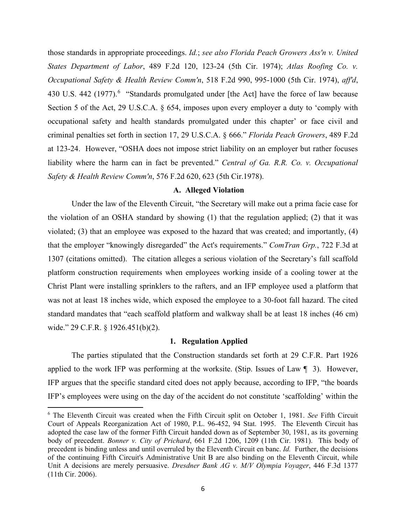those standards in appropriate proceedings. *Id.*; *see also Florida Peach Growers Ass'n v. United States Department of Labor*, 489 F.2d 120, 123-24 (5th Cir. 1974); *Atlas Roofing Co. v. Occupational Safety & Health Review Comm'n*, 518 F.2d 990, 995-1000 (5th Cir. 1974), *aff'd*, 430 U.S. 442 (1977).<sup>[6](#page-5-0)</sup> "Standards promulgated under [the Act] have the force of law because Section 5 of the Act, 29 U.S.C.A. § 654, imposes upon every employer a duty to 'comply with occupational safety and health standards promulgated under this chapter' or face civil and criminal penalties set forth in section 17, 29 U.S.C.A. § 666." *Florida Peach Growers*, 489 F.2d at 123-24. However, "OSHA does not impose strict liability on an employer but rather focuses liability where the harm can in fact be prevented." *Central of Ga. R.R. Co. v. Occupational Safety & Health Review Comm'n*, 576 F.2d 620, 623 (5th Cir.1978).

### **A. Alleged Violation**

Under the law of the Eleventh Circuit, "the Secretary will make out a prima facie case for the violation of an OSHA standard by showing (1) that the regulation applied; (2) that it was violated; (3) that an employee was exposed to the hazard that was created; and importantly, (4) that the employer "knowingly disregarded" the Act's requirements." *ComTran Grp.*, 722 F.3d at 1307 (citations omitted). The citation alleges a serious violation of the Secretary's fall scaffold platform construction requirements when employees working inside of a cooling tower at the Christ Plant were installing sprinklers to the rafters, and an IFP employee used a platform that was not at least 18 inches wide, which exposed the employee to a 30-foot fall hazard. The cited standard mandates that "each scaffold platform and walkway shall be at least 18 inches (46 cm) wide." 29 C.F.R. § 1926.451(b)(2).

#### **1. Regulation Applied**

The parties stipulated that the Construction standards set forth at 29 C.F.R. Part 1926 applied to the work IFP was performing at the worksite. (Stip. Issues of Law ¶ 3). However, IFP argues that the specific standard cited does not apply because, according to IFP, "the boards IFP's employees were using on the day of the accident do not constitute 'scaffolding' within the

<span id="page-5-0"></span><sup>6</sup> The Eleventh Circuit was created when the Fifth Circuit split on October 1, 1981. *See* Fifth Circuit Court of Appeals Reorganization Act of 1980, P.L. 96-452, 94 Stat. 1995. The Eleventh Circuit has adopted the case law of the former Fifth Circuit handed down as of September 30, 1981, as its governing body of precedent. *Bonner v. City of Prichard*, 661 F.2d 1206, 1209 (11th Cir. 1981). This body of precedent is binding unless and until overruled by the Eleventh Circuit en banc. *Id.* Further, the decisions of the continuing Fifth Circuit's Administrative Unit B are also binding on the Eleventh Circuit, while Unit A decisions are merely persuasive. *Dresdner Bank AG v. M/V Olympia Voyager*, 446 F.3d 1377 (11th Cir. 2006).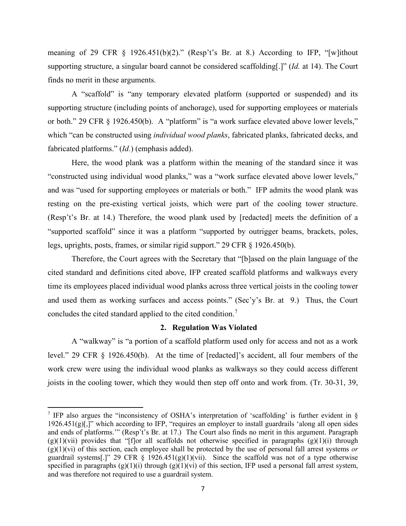meaning of 29 CFR § 1926.451(b)(2)." (Resp't's Br. at 8.) According to IFP, "[w]ithout supporting structure, a singular board cannot be considered scaffolding[.]" (*Id.* at 14). The Court finds no merit in these arguments.

A "scaffold" is "any temporary elevated platform (supported or suspended) and its supporting structure (including points of anchorage), used for supporting employees or materials or both." 29 CFR § 1926.450(b). A "platform" is "a work surface elevated above lower levels," which "can be constructed using *individual wood planks*, fabricated planks, fabricated decks, and fabricated platforms." (*Id.*) (emphasis added).

Here, the wood plank was a platform within the meaning of the standard since it was "constructed using individual wood planks," was a "work surface elevated above lower levels," and was "used for supporting employees or materials or both." IFP admits the wood plank was resting on the pre-existing vertical joists, which were part of the cooling tower structure. (Resp't's Br. at 14.) Therefore, the wood plank used by [redacted] meets the definition of a "supported scaffold" since it was a platform "supported by outrigger beams, brackets, poles, legs, uprights, posts, frames, or similar rigid support." 29 CFR § 1926.450(b).

Therefore, the Court agrees with the Secretary that "[b]ased on the plain language of the cited standard and definitions cited above, IFP created scaffold platforms and walkways every time its employees placed individual wood planks across three vertical joists in the cooling tower and used them as working surfaces and access points." (Sec'y's Br. at 9.) Thus, the Court concludes the cited standard applied to the cited condition.[7](#page-6-0)

#### **2. Regulation Was Violated**

A "walkway" is "a portion of a scaffold platform used only for access and not as a work level." 29 CFR § 1926.450(b). At the time of [redacted]'s accident, all four members of the work crew were using the individual wood planks as walkways so they could access different joists in the cooling tower, which they would then step off onto and work from. (Tr. 30-31, 39,

<span id="page-6-0"></span><sup>7</sup> IFP also argues the "inconsistency of OSHA's interpretation of 'scaffolding' is further evident in § 1926.451(g)[,]" which according to IFP, "requires an employer to install guardrails 'along all open sides and ends of platforms.'" (Resp't's Br. at 17.) The Court also finds no merit in this argument. Paragraph  $(g)(1)(\text{vii})$  provides that "[f]or all scaffolds not otherwise specified in paragraphs  $(g)(1)(i)$  through (g)(1)(vi) of this section, each employee shall be protected by the use of personal fall arrest systems *or* guardrail systems[.]" 29 CFR  $\S$  1926.451(g)(1)(vii). Since the scaffold was not of a type otherwise specified in paragraphs  $(g)(1)(i)$  through  $(g)(1)(vi)$  of this section, IFP used a personal fall arrest system, and was therefore not required to use a guardrail system.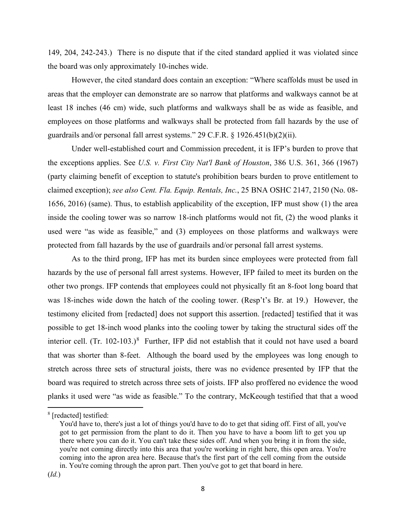149, 204, 242-243.) There is no dispute that if the cited standard applied it was violated since the board was only approximately 10-inches wide.

However, the cited standard does contain an exception: "Where scaffolds must be used in areas that the employer can demonstrate are so narrow that platforms and walkways cannot be at least 18 inches (46 cm) wide, such platforms and walkways shall be as wide as feasible, and employees on those platforms and walkways shall be protected from fall hazards by the use of guardrails and/or personal fall arrest systems." 29 C.F.R. § 1926.451(b)(2)(ii).

Under well-established court and Commission precedent, it is IFP's burden to prove that the exceptions applies. See *U.S. v. First City Nat'l Bank of Houston*, 386 U.S. 361, 366 (1967) (party claiming benefit of exception to statute's prohibition bears burden to prove entitlement to claimed exception); *see also Cent. Fla. Equip. Rentals, Inc.*, 25 BNA OSHC 2147, 2150 (No. 08- 1656, 2016) (same). Thus, to establish applicability of the exception, IFP must show (1) the area inside the cooling tower was so narrow 18-inch platforms would not fit, (2) the wood planks it used were "as wide as feasible," and (3) employees on those platforms and walkways were protected from fall hazards by the use of guardrails and/or personal fall arrest systems.

As to the third prong, IFP has met its burden since employees were protected from fall hazards by the use of personal fall arrest systems. However, IFP failed to meet its burden on the other two prongs. IFP contends that employees could not physically fit an 8-foot long board that was 18-inches wide down the hatch of the cooling tower. (Resp't's Br. at 19.) However, the testimony elicited from [redacted] does not support this assertion. [redacted] testified that it was possible to get 18-inch wood planks into the cooling tower by taking the structural sides off the interior cell.  $(Tr. 102-103.)$ <sup>[8](#page-7-0)</sup> Further, IFP did not establish that it could not have used a board that was shorter than 8-feet. Although the board used by the employees was long enough to stretch across three sets of structural joists, there was no evidence presented by IFP that the board was required to stretch across three sets of joists. IFP also proffered no evidence the wood planks it used were "as wide as feasible." To the contrary, McKeough testified that that a wood

<span id="page-7-0"></span><sup>8</sup> [redacted] testified:

You'd have to, there's just a lot of things you'd have to do to get that siding off. First of all, you've got to get permission from the plant to do it. Then you have to have a boom lift to get you up there where you can do it. You can't take these sides off. And when you bring it in from the side, you're not coming directly into this area that you're working in right here, this open area. You're coming into the apron area here. Because that's the first part of the cell coming from the outside in. You're coming through the apron part. Then you've got to get that board in here.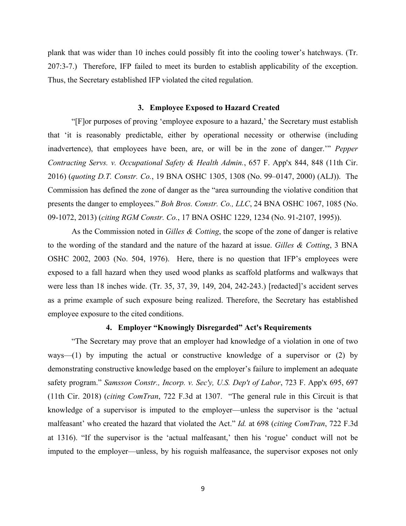plank that was wider than 10 inches could possibly fit into the cooling tower's hatchways. (Tr. 207:3-7.) Therefore, IFP failed to meet its burden to establish applicability of the exception. Thus, the Secretary established IFP violated the cited regulation.

#### **3. Employee Exposed to Hazard Created**

"[F]or purposes of proving 'employee exposure to a hazard,' the Secretary must establish that 'it is reasonably predictable, either by operational necessity or otherwise (including inadvertence), that employees have been, are, or will be in the zone of danger.'" *Pepper Contracting Servs. v. Occupational Safety & Health Admin.*, 657 F. App'x 844, 848 (11th Cir. 2016) (*quoting D.T. Constr. Co.*, 19 BNA OSHC 1305, 1308 (No. 99–0147, 2000) (ALJ)). The Commission has defined the zone of danger as the "area surrounding the violative condition that presents the danger to employees." *Boh Bros. Constr. Co., LLC*, 24 BNA OSHC 1067, 1085 (No. 09-1072, 2013) (*citing RGM Constr. Co.*, 17 BNA OSHC 1229, 1234 (No. 91-2107, 1995)).

As the Commission noted in *Gilles & Cotting*, the scope of the zone of danger is relative to the wording of the standard and the nature of the hazard at issue. *Gilles & Cotting*, 3 BNA OSHC 2002, 2003 (No. 504, 1976). Here, there is no question that IFP's employees were exposed to a fall hazard when they used wood planks as scaffold platforms and walkways that were less than 18 inches wide. (Tr. 35, 37, 39, 149, 204, 242-243.) [redacted]'s accident serves as a prime example of such exposure being realized. Therefore, the Secretary has established employee exposure to the cited conditions.

## **4. Employer "Knowingly Disregarded" Act's Requirements**

"The Secretary may prove that an employer had knowledge of a violation in one of two ways—(1) by imputing the actual or constructive knowledge of a supervisor or (2) by demonstrating constructive knowledge based on the employer's failure to implement an adequate safety program." *Samsson Constr., Incorp. v. Sec'y, U.S. Dep't of Labor*, 723 F. App'x 695, 697 (11th Cir. 2018) (*citing ComTran*, 722 F.3d at 1307. "The general rule in this Circuit is that knowledge of a supervisor is imputed to the employer—unless the supervisor is the 'actual malfeasant' who created the hazard that violated the Act." *Id.* at 698 (*citing ComTran*, 722 F.3d at 1316). "If the supervisor is the 'actual malfeasant,' then his 'rogue' conduct will not be imputed to the employer—unless, by his roguish malfeasance, the supervisor exposes not only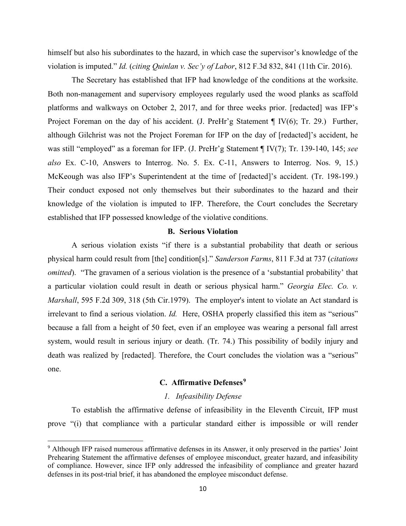himself but also his subordinates to the hazard, in which case the supervisor's knowledge of the violation is imputed." *Id.* (*citing Quinlan v. Sec'y of Labor*, 812 F.3d 832, 841 (11th Cir. 2016).

The Secretary has established that IFP had knowledge of the conditions at the worksite. Both non-management and supervisory employees regularly used the wood planks as scaffold platforms and walkways on October 2, 2017, and for three weeks prior. [redacted] was IFP's Project Foreman on the day of his accident. (J. PreHr'g Statement ¶ IV(6); Tr. 29.) Further, although Gilchrist was not the Project Foreman for IFP on the day of [redacted]'s accident, he was still "employed" as a foreman for IFP. (J. PreHr'g Statement ¶ IV(7); Tr. 139-140, 145; *see also* Ex. C-10, Answers to Interrog. No. 5. Ex. C-11, Answers to Interrog. Nos. 9, 15.) McKeough was also IFP's Superintendent at the time of [redacted]'s accident. (Tr. 198-199.) Their conduct exposed not only themselves but their subordinates to the hazard and their knowledge of the violation is imputed to IFP. Therefore, the Court concludes the Secretary established that IFP possessed knowledge of the violative conditions.

# **B. Serious Violation**

A serious violation exists "if there is a substantial probability that death or serious physical harm could result from [the] condition[s]." *Sanderson Farms*, 811 F.3d at 737 (*citations omitted*). "The gravamen of a serious violation is the presence of a 'substantial probability' that a particular violation could result in death or serious physical harm." *Georgia Elec. Co. v. Marshall*, 595 F.2d 309, 318 (5th Cir.1979). The employer's intent to violate an Act standard is irrelevant to find a serious violation. *Id.* Here, OSHA properly classified this item as "serious" because a fall from a height of 50 feet, even if an employee was wearing a personal fall arrest system, would result in serious injury or death. (Tr. 74.) This possibility of bodily injury and death was realized by [redacted]. Therefore, the Court concludes the violation was a "serious" one.

# **C. Affirmative Defenses[9](#page-9-0)**

### *1. Infeasibility Defense*

To establish the affirmative defense of infeasibility in the Eleventh Circuit, IFP must prove "(i) that compliance with a particular standard either is impossible or will render

<span id="page-9-0"></span><sup>9</sup> Although IFP raised numerous affirmative defenses in its Answer, it only preserved in the parties' Joint Prehearing Statement the affirmative defenses of employee misconduct, greater hazard, and infeasibility of compliance. However, since IFP only addressed the infeasibility of compliance and greater hazard defenses in its post-trial brief, it has abandoned the employee misconduct defense.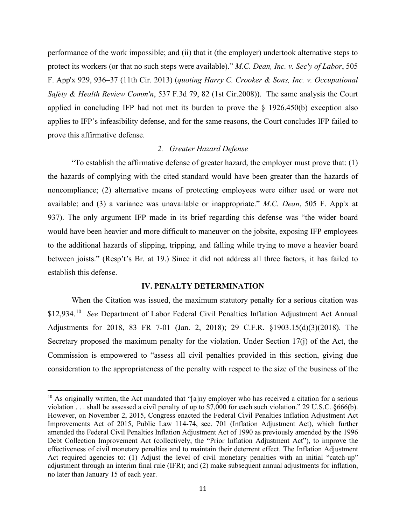performance of the work impossible; and (ii) that it (the employer) undertook alternative steps to protect its workers (or that no such steps were available)." *M.C. Dean, Inc. v. Sec'y of Labor*, 505 F. App'x 929, 936–37 (11th Cir. 2013) (*quoting Harry C. Crooker & Sons, Inc. v. Occupational Safety & Health Review Comm'n*, 537 F.3d 79, 82 (1st Cir.2008)). The same analysis the Court applied in concluding IFP had not met its burden to prove the § 1926.450(b) exception also applies to IFP's infeasibility defense, and for the same reasons, the Court concludes IFP failed to prove this affirmative defense.

## *2. Greater Hazard Defense*

"To establish the affirmative defense of greater hazard, the employer must prove that: (1) the hazards of complying with the cited standard would have been greater than the hazards of noncompliance; (2) alternative means of protecting employees were either used or were not available; and (3) a variance was unavailable or inappropriate." *M.C. Dean*, 505 F. App'x at 937). The only argument IFP made in its brief regarding this defense was "the wider board would have been heavier and more difficult to maneuver on the jobsite, exposing IFP employees to the additional hazards of slipping, tripping, and falling while trying to move a heavier board between joists." (Resp't's Br. at 19.) Since it did not address all three factors, it has failed to establish this defense.

#### **IV. PENALTY DETERMINATION**

When the Citation was issued, the maximum statutory penalty for a serious citation was \$12,934.[10](#page-10-0) *See* Department of Labor Federal Civil Penalties Inflation Adjustment Act Annual Adjustments for 2018, 83 FR 7-01 (Jan. 2, 2018); 29 C.F.R. §1903.15(d)(3)(2018). The Secretary proposed the maximum penalty for the violation. Under Section 17(j) of the Act, the Commission is empowered to "assess all civil penalties provided in this section, giving due consideration to the appropriateness of the penalty with respect to the size of the business of the

<span id="page-10-0"></span> $10$  As originally written, the Act mandated that "[a]ny employer who has received a citation for a serious violation . . . shall be assessed a civil penalty of up to \$7,000 for each such violation." 29 U.S.C. §666(b). However, on November 2, 2015, Congress enacted the Federal Civil Penalties Inflation Adjustment Act Improvements Act of 2015, Public Law 114-74, sec. 701 (Inflation Adjustment Act), which further amended the Federal Civil Penalties Inflation Adjustment Act of 1990 as previously amended by the 1996 Debt Collection Improvement Act (collectively, the "Prior Inflation Adjustment Act"), to improve the effectiveness of civil monetary penalties and to maintain their deterrent effect. The Inflation Adjustment Act required agencies to: (1) Adjust the level of civil monetary penalties with an initial "catch-up" adjustment through an interim final rule (IFR); and (2) make subsequent annual adjustments for inflation, no later than January 15 of each year.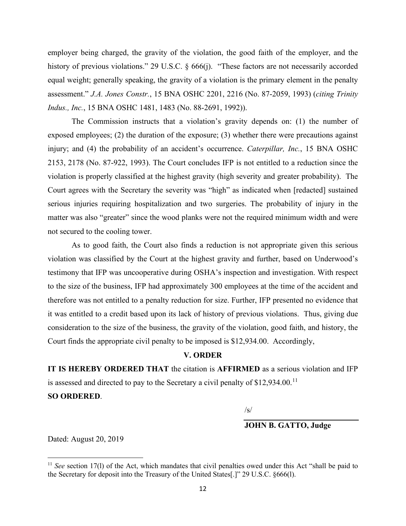employer being charged, the gravity of the violation, the good faith of the employer, and the history of previous violations." 29 U.S.C. § 666(j). "These factors are not necessarily accorded equal weight; generally speaking, the gravity of a violation is the primary element in the penalty assessment." *J.A. Jones Constr.*, 15 BNA OSHC 2201, 2216 (No. 87-2059, 1993) (*citing Trinity Indus., Inc.*, 15 BNA OSHC 1481, 1483 (No. 88-2691, 1992)).

The Commission instructs that a violation's gravity depends on: (1) the number of exposed employees; (2) the duration of the exposure; (3) whether there were precautions against injury; and (4) the probability of an accident's occurrence. *Caterpillar, Inc.*, 15 BNA OSHC 2153, 2178 (No. 87-922, 1993). The Court concludes IFP is not entitled to a reduction since the violation is properly classified at the highest gravity (high severity and greater probability). The Court agrees with the Secretary the severity was "high" as indicated when [redacted] sustained serious injuries requiring hospitalization and two surgeries. The probability of injury in the matter was also "greater" since the wood planks were not the required minimum width and were not secured to the cooling tower.

As to good faith, the Court also finds a reduction is not appropriate given this serious violation was classified by the Court at the highest gravity and further, based on Underwood's testimony that IFP was uncooperative during OSHA's inspection and investigation. With respect to the size of the business, IFP had approximately 300 employees at the time of the accident and therefore was not entitled to a penalty reduction for size. Further, IFP presented no evidence that it was entitled to a credit based upon its lack of history of previous violations. Thus, giving due consideration to the size of the business, the gravity of the violation, good faith, and history, the Court finds the appropriate civil penalty to be imposed is \$12,934.00. Accordingly,

### **V. ORDER**

**IT IS HEREBY ORDERED THAT** the citation is **AFFIRMED** as a serious violation and IFP is assessed and directed to pay to the Secretary a civil penalty of \$12,934.00.<sup>[11](#page-11-0)</sup>

**SO ORDERED**.

/s/

**JOHN B. GATTO, Judge** 

Dated: August 20, 2019

<span id="page-11-0"></span><sup>&</sup>lt;sup>11</sup> *See* section 17(1) of the Act, which mandates that civil penalties owed under this Act "shall be paid to the Secretary for deposit into the Treasury of the United States[.]" 29 U.S.C. §666(l).